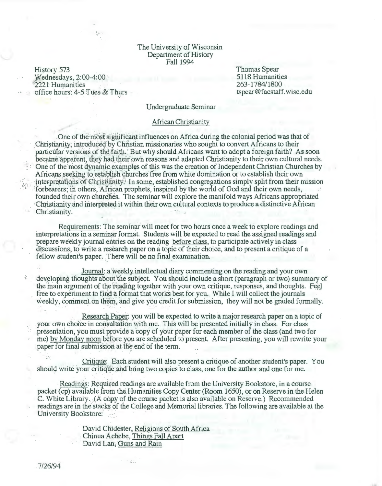#### The University of Wisconsin Department of History Fall 1994

History 573 }Vednesdays, 2:00-4:00 2221 Humanities office hours:  $4-5$  Tues & Thurs Thomas Spear 5118 Humanities 263-1784/1800 tspear@facstaff.wisc.edu

Undergraduate Seminar

#### African Christianity

One of the most significant influences on Africa during the colonial period was that of Christianity; introduced by Christian missionaries who sought to convert Africans to their particular versions of the faith. But why should Africans want to adopt a foreign faith? As soon became, apparent, they had their own reasons and adapted Christianity to their own cultural needs.  $\sim$  One of the most dynamic examples of this was the creation of Independent Christian Churches by Africans seeking to establish churches free from white domination or to establish their own interpretations of Christianity. In some, established congregations simply split from their mission forbearers; in others, African prophets, inspired by the world of God and their own needs, founded their own churches. The seminar will explore the manifold ways Africans appropriated 'Christianity and interpreted it within their own cultural contexts to produce a distinctive African-Christianity.

Requirements: The seminar will meet for two hours once a week to explore readings and interpretations in a seminar format. Students will be expected to read the assigned readings and prepare weekly journal entries on the reading before class, to participate actively in class discussions, to write a research paper on a topic of their choice, and to present a critique of a fellow student's paper. There will be no final examination.

Journal: a weekly intellectual diary commenting on the reading and your own developing thoughts about the subject. You should include a short (paragraph or two) summary of the main argument of the reading together with your own critique, responses, and thoughts. Fee free to experiment to find a format that works best for you. While I will collect the journals weekly, comment on them, and give you credit for submission, they will not be graded formally.

Research Paper: you will be expected to write a major research paper on a topic of your own choice in consultation with me. This will be presented initially in class. For class presentation, you must provide a copy of your paper for each member of the class (and two for me) by Monday noon before you are scheduled to present. After presenting, you will rewrite your paper for final submission at the end of the term.

· Critique: Each student will also present a critique of another student's paper. You should write your critique and bring two copies to class, one for the author and one for me.

Readings: Required readings are available from the University Bookstore, in a course packet (cp) available from the Humanities Copy Center (Room 1650), or on Reserve in the Helen C. White Library. (A copy of the course packet is also available on Reserve.) Recommended readings are in the stacks of the College and Memorial libraries. The following are available at the University Bookstore:

> . David Chidester, Religions of South Africa . Chinua Achebe,Things Fall Apart David Lan; Guns and Rain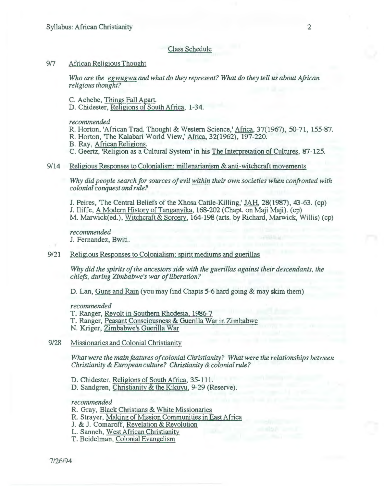## Class Schedule

# 917 African Religious Thought

*Who are the egwugwu and what do they represent? What do they tell us about African religious thought?* 

C. Achebe, Things Fall Apart.

D. Chidester, Religions of South Africa, 1-34.

*recommended* 

R. Horton, 'African Trad. Thought & Western Science,' Africa, 37(1967), 50-71, 155-87.

R. Horton, 'The Kalahari World View,' Africa, 32(1962), 197-220.

B. Ray, African Religions.

C. Geertz, 'Religion as a Cultural System' in his The Interpretation of Cultures, 87-125.

## 9/14 Religious Responses to Colonialism: millenarianism & anti -witchcraft movements

*Why did people search for sources of evil within their own societies when confronted with colonial conquest and rule?* 

J. Peires, 'The Central Beliefs of the Xhosa Cattle-Killing,' JAH, 28(1987), 43-63. (cp) J. Iliffe, A Modern History of Tanganyika, 168-202 (Chapt. on Maji Maji). (cp) M. Marwick(ed.), Witchcraft&Sorcery, 164-198 (arts. by Richard, Marwick, Willis) (cp)

*recommended*  J. Fernandez, Bwiti.

#### 9/21 Religious Responses to Colonialism: spirit mediums and guerillas

*Why did the spirits of the ancestors side with the guerillas against their descendants, the chiefs, during Zimbabwe's war of liberation?* 

D. Lan, Guns and Rain (you may find Chapts 5-6 hard going & may skim them)

*recommended* 

T. Ranger, Revolt in Southern Rhodesia, 1986-7

T. Ranger, Peasant Consciousness & Guerilla War in Zimbabwe

- N. Kriger, Zimbabwe's Guerilla War
- 9/28 Missionaries and Colonial Christianity

*What were the main features of colonial Christianity? What were the relationships between Christianity* & *European culture? Christianity* & *colonial rule?* 

D. Chidester, Religions of South Africa, 35-111.

D. Sandgren, Christianity & the Kikuyu, 9-29 (Reserve).

*recommended* 

R. Gray, Black Christians & White Missionaries

R. Strayer, Making of Mission Communities in East Africa

J. & J. Comaroff, Revelation & Revolution

L. Sanneh, West African Christianity

T. Beidelman, Colonial Evangelism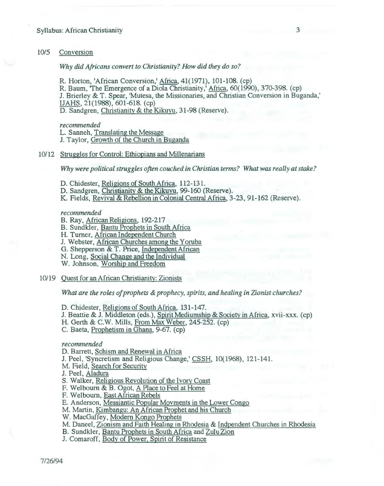# 10/5 Conversion

# *Why did Africans convert to Christianity? How did they do so?*

R. Horton, 'African Conversion,' Africa, 41(1971), 101-108. (cp) R. Baum, 'The Emergence of a Diola Christianity,' Africa, 60(1990), 370-398. (cp) J. Brierley & T. Spear, 'Mutesa, the Missionaries, and Christian Conversion in Buganda,' IJAHS, 21(1988), 601-618. (cp) D. Sandgren, Christianity & the Kikuyu, 31-98 (Reserve).

#### *recommended*

L. Sanneh, Translating the Message

J. Taylor, Growth of the Church in Buganda

# 10/12 Struggles for Control: Ethiopians and Millenarians

*Why were political struggles often couched in Christian terms? What was really at stake?* 

- D. Chidester, Religions of South Africa, 112-131.
- D. Sandgren, Christianity & the Kikuyu, 99-160 (Reserve).
- K. Fields, Revival & Rebellion in Colonial Central Africa, 3-23, 91-162 (Reserve).

*recommended* 

- B. Ray, African Religions, 192-217
- B. Sundkler, Bantu Prophets in South Africa
- H. Turner, African Independent Church
- J. Webster, African Churches among the Yoruba
- G. Shepperson & T. Price, Independent African
- N. Long, Social Change and the Individual
- W. Johnson, Worship and Freedom
- 10/19 Quest for an African Christianity: Zionists

*What are the roles of prophets* & *prophecy, spirits, and healing in Zionist churches?* 

- D. Chidester, Religions of South Africa, 131-147.
- J. Beattie & J. Middleton (eds.), Spirit Mediumship & Society in Africa, xvii-xxx. (cp)
- H. Gerth & C.W. Mills, From Max Weber, 245-252. (cp)
- C. Baeta, Prophetism in Ghana, 9-67. (cp)

## *recommended*

- D. Barrett, Schism and Renewal in Africa
- J. Peel, 'Syncretism and Religious Change,' CSSH, 10(1968), 121-141.
- M. Field, Search for Security
- J. Peel, Aladura
- S. Walker, Religious Revolution of the Ivory Coast
- F. Welbourn & B. Ogot, A Place to Feel at Home
- F. Welbourn, East African Rebels
- E. Anderson, Messiantic Popular Movments in the Lower Congo
- M. Martin, Kimbangu: An African Prophet and his Church
- W. MacGaffey, Modern Kongo Prophets
- M. Daneel, Zionism and Faith Healing in Rhodesia & Indpendent Churches in Rhodesia
- B. Sundkler, Bantu Prophets in South Africa and Zulu Zion
- J. Comaroff, Body of Power, Spirit of Resistance